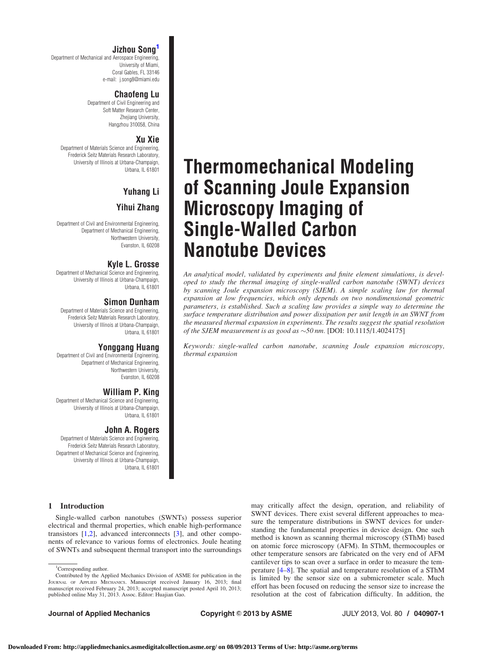# Jizhou Song<sup>1</sup>

Department of Mechanical and Aerospace Engineering, University of Miami, Coral Gables, FL 33146 e-mail: j.song8@miami.edu

## Chaofeng Lu

Department of Civil Engineering and Soft Matter Research Center, Zhejiang University, Hangzhou 310058, China

## Xu Xie

Department of Materials Science and Engineering, Frederick Seitz Materials Research Laboratory, University of Illinois at Urbana-Champaign, Urbana, IL 61801

# Yuhang Li Yihui Zhang

Department of Civil and Environmental Engineering, Department of Mechanical Engineering, Northwestern University, Evanston, IL 60208

# Kyle L. Grosse

Department of Mechanical Science and Engineering, University of Illinois at Urbana-Champaign, Urbana, IL 61801

# Simon Dunham

Department of Materials Science and Engineering, Frederick Seitz Materials Research Laboratory, University of Illinois at Urbana-Champaign, Urbana, IL 61801

# Yonggang Huang

Department of Civil and Environmental Engineering, Department of Mechanical Engineering, Northwestern University, Evanston, IL 60208

# William P. King

Department of Mechanical Science and Engineering, University of Illinois at Urbana-Champaign, Urbana, IL 61801

# John A. Rogers

Department of Materials Science and Engineering, Frederick Seitz Materials Research Laboratory, Department of Mechanical Science and Engineering, University of Illinois at Urbana-Champaign, Urbana, IL 61801

## 1 Introduction

Single-walled carbon nanotubes (SWNTs) possess superior electrical and thermal properties, which enable high-performance transistors [\[1,2](#page-6-0)], advanced interconnects [[3](#page-6-0)], and other components of relevance to various forms of electronics. Joule heating of SWNTs and subsequent thermal transport into the surroundings

# Thermomechanical Modeling of Scanning Joule Expansion Microscopy Imaging of Single-Walled Carbon Nanotube Devices

An analytical model, validated by experiments and finite element simulations, is developed to study the thermal imaging of single-walled carbon nanotube (SWNT) devices by scanning Joule expansion microscopy (SJEM). A simple scaling law for thermal expansion at low frequencies, which only depends on two nondimensional geometric parameters, is established. Such a scaling law provides a simple way to determine the surface temperature distribution and power dissipation per unit length in an SWNT from the measured thermal expansion in experiments. The results suggest the spatial resolution of the SJEM measurement is as good as  $\sim$ 50 nm. [DOI: 10.1115/1.4024175]

Keywords: single-walled carbon nanotube, scanning Joule expansion microscopy, thermal expansion

> may critically affect the design, operation, and reliability of SWNT devices. There exist several different approaches to measure the temperature distributions in SWNT devices for understanding the fundamental properties in device design. One such method is known as scanning thermal microscopy (SThM) based on atomic force microscopy (AFM). In SThM, thermocouples or other temperature sensors are fabricated on the very end of AFM cantilever tips to scan over a surface in order to measure the temperature [\[4–8\]](#page-6-0). The spatial and temperature resolution of a SThM is limited by the sensor size on a submicrometer scale. Much effort has been focused on reducing the sensor size to increase the resolution at the cost of fabrication difficulty. In addition, the

<sup>&</sup>lt;sup>1</sup>Corresponding author. Contributed by the Applied Mechanics Division of ASME for publication in the JOURNAL OF APPLIED MECHANICS. Manuscript received January 16, 2013; final manuscript received February 24, 2013; accepted manuscript posted April 10, 2013; published online May 31, 2013. Assoc. Editor: Huajian Gao.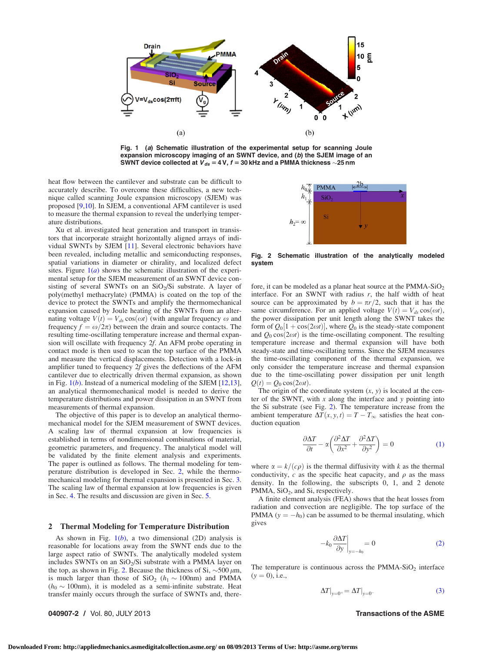<span id="page-1-0"></span>

Fig. 1 (a) Schematic illustration of the experimental setup for scanning Joule expansion microscopy imaging of an SWNT device, and (b) the SJEM image of an SWNT device collected at  $\boldsymbol{V}_{d\boldsymbol{s}} =$  4 V,  $f$  = 30 kHz and a PMMA thickness  $\sim$ 25 nm

heat flow between the cantilever and substrate can be difficult to accurately describe. To overcome these difficulties, a new technique called scanning Joule expansion microscopy (SJEM) was proposed [[9,10](#page-6-0)]. In SJEM, a conventional AFM cantilever is used to measure the thermal expansion to reveal the underlying temperature distributions.

Xu et al. investigated heat generation and transport in transistors that incorporate straight horizontally aligned arrays of individual SWNTs by SJEM [\[11](#page-6-0)]. Several electronic behaviors have been revealed, including metallic and semiconducting responses, spatial variations in diameter or chirality, and localized defect sites. Figure  $1(a)$  shows the schematic illustration of the experimental setup for the SJEM measurement of an SWNT device consisting of several SWNTs on an  $SiO<sub>2</sub>/Si$  substrate. A layer of poly(methyl methacrylate) (PMMA) is coated on the top of the device to protect the SWNTs and amplify the thermomechanical expansion caused by Joule heating of the SWNTs from an alternating voltage  $V(t) = V_{ds} \cos(\omega t)$  (with angular frequency  $\omega$  and frequency  $f = \omega/2\pi$ ) between the drain and source contacts. The resulting time-oscillating temperature increase and thermal expansion will oscillate with frequency 2f. An AFM probe operating in contact mode is then used to scan the top surface of the PMMA and measure the vertical displacements. Detection with a lock-in amplifier tuned to frequency 2f gives the deflections of the AFM cantilever due to electrically driven thermal expansion, as shown in Fig.  $1(b)$ . Instead of a numerical modeling of the SJEM  $[12,13]$  $[12,13]$ , an analytical thermomechanical model is needed to derive the temperature distributions and power dissipation in an SWNT from measurements of thermal expansion.

The objective of this paper is to develop an analytical thermomechanical model for the SJEM measurement of SWNT devices. A scaling law of thermal expansion at low frequencies is established in terms of nondimensional combinations of material, geometric parameters, and frequency. The analytical model will be validated by the finite element analysis and experiments. The paper is outlined as follows. The thermal modeling for temperature distribution is developed in Sec. 2, while the thermomechanical modeling for thermal expansion is presented in Sec. [3.](#page-3-0) The scaling law of thermal expansion at low frequencies is given in Sec. [4](#page-4-0). The results and discussion are given in Sec. [5.](#page-5-0)

## 2 Thermal Modeling for Temperature Distribution

As shown in Fig.  $1(b)$ , a two dimensional (2D) analysis is reasonable for locations away from the SWNT ends due to the large aspect ratio of SWNTs. The analytically modeled system includes SWNTs on an  $SiO<sub>2</sub>/Si$  substrate with a PMMA layer on the top, as shown in Fig. 2. Because the thickness of Si,  $\sim$  500  $\mu$ m, is much larger than those of  $SiO_2$  ( $h_1 \sim 100$ nm) and PMMA  $(h_0 \sim 100$ nm), it is modeled as a semi-infinite substrate. Heat transfer mainly occurs through the surface of SWNTs and, there-

 $2b$ **PMMA** 

Fig. 2 Schematic illustration of the analytically modeled system

fore, it can be modeled as a planar heat source at the PMMA-Si $O_2$ interface. For an SWNT with radius  $r$ , the half width of heat source can be approximated by  $b = \pi r/2$ , such that it has the same circumference. For an applied voltage  $V(t) = V_{ds} \cos(\omega t)$ , the power dissipation per unit length along the SWNT takes the form of  $Q_0[1 + \cos(2\omega t)]$ , where  $Q_0$  is the steady-state component and  $Q_0 \cos(2\omega t)$  is the time-oscillating component. The resulting temperature increase and thermal expansion will have both steady-state and time-oscillating terms. Since the SJEM measures the time-oscillating component of the thermal expansion, we only consider the temperature increase and thermal expansion due to the time-oscillating power dissipation per unit length  $Q(t) = Q_0 \cos(2\omega t).$ 

The origin of the coordinate system  $(x, y)$  is located at the center of the SWNT, with  $x$  along the interface and  $y$  pointing into the Si substrate (see Fig. 2). The temperature increase from the ambient temperature  $\Delta T(x, y, t) = T - T_{\infty}$  satisfies the heat conduction equation

$$
\frac{\partial \Delta T}{\partial t} - \alpha \left( \frac{\partial^2 \Delta T}{\partial x^2} + \frac{\partial^2 \Delta T}{\partial y^2} \right) = 0 \tag{1}
$$

where  $\alpha = k/(c\rho)$  is the thermal diffusivity with k as the thermal conductivity, c as the specific heat capacity, and  $\rho$  as the mass density. In the following, the subscripts 0, 1, and 2 denote PMMA,  $SiO<sub>2</sub>$ , and Si, respectively.

A finite element analysis (FEA) shows that the heat losses from radiation and convection are negligible. The top surface of the PMMA ( $y = -h_0$ ) can be assumed to be thermal insulating, which gives

$$
-k_0 \frac{\partial \Delta T}{\partial y}\Big|_{y=-h_0} = 0
$$
 (2)

The temperature is continuous across the  $PMMA-SiO<sub>2</sub>$  interface  $(y = 0)$ , i.e.,

$$
\Delta T|_{y=0^+} = \Delta T|_{y=0^-}
$$
\n(3)

040907-2 / Vol. 80, JULY 2013 Transactions of the ASME

**Downloaded From: http://appliedmechanics.asmedigitalcollection.asme.org/ on 08/09/2013 Terms of Use: http://asme.org/terms**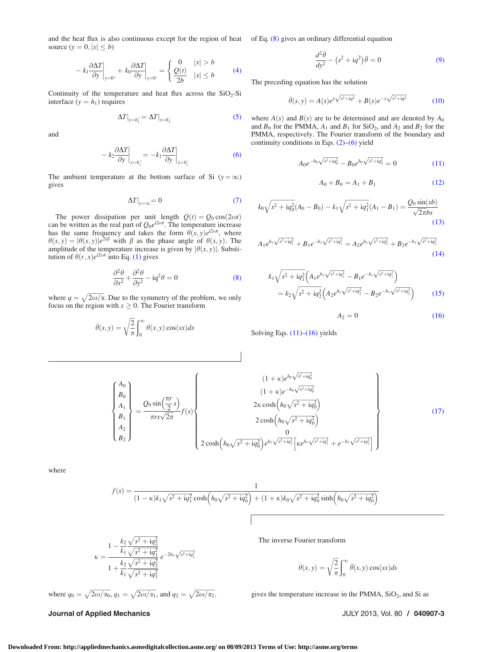and the heat flux is also continuous except for the region of heat of Eq.  $(8)$  gives an ordinary differential equation source  $(y = 0, |x| \le b)$ 

$$
- k_1 \frac{\partial \Delta T}{\partial y}\Big|_{y=0^+} + k_0 \frac{\partial \Delta T}{\partial y}\Big|_{y=0^-} = \begin{cases} 0 & |x| > b \\ \frac{Q(t)}{2b} & |x| \le b \end{cases}
$$
 (4)

Continuity of the temperature and heat flux across the  $SiO<sub>2</sub>-Si$ interface  $(y = h_1)$  requires

$$
\Delta T|_{y=h_1^+} = \Delta T|_{y=h_1^-}
$$
\n(5)

and

$$
-k_2 \frac{\partial \Delta T}{\partial y}\bigg|_{y=h_1^+} = -k_1 \frac{\partial \Delta T}{\partial y}\bigg|_{y=h_1^-}
$$
 (6)

The ambient temperature at the bottom surface of Si  $(y = \infty)$ gives

$$
\Delta T|_{y=\infty} = 0\tag{7}
$$

The power dissipation per unit length  $Q(t) = Q_0 \cos(2\omega t)$ can be written as the real part of  $Q_0e^{i2\omega t}$ . The temperature increase has the same frequency and takes the form  $\theta(x, y)e^{i2\omega t}$ , where  $\theta(x, y) = |\theta(x, y)|e^{2i\beta}$  with  $\beta$  as the phase angle of  $\theta(x, y)$ . The amplitude of the temperature increase is given by  $|\theta(x, y)|$ . Substitution of  $\theta(r, x)e^{i2\omega t}$  into Eq. [\(1\)](#page-1-0) gives

$$
\frac{\partial^2 \theta}{\partial x^2} + \frac{\partial^2 \theta}{\partial y^2} - iq^2 \theta = 0
$$
 (8)

where  $q = \sqrt{2\omega/\alpha}$ . Due to the symmetry of the problem, we only focus on the region with  $x \geq 0$ . The Fourier transform

$$
\bar{\theta}(s, y) = \sqrt{\frac{2}{\pi}} \int_0^{\infty} \theta(x, y) \cos(sx) dx
$$

$$
\frac{d^2\bar{\theta}}{dy^2} - \left(s^2 + \mathrm{i}q^2\right)\bar{\theta} = 0\tag{9}
$$

The preceding equation has the solution

$$
\bar{\theta}(s, y) = A(s)e^{y\sqrt{s^2 + iq^2}} + B(s)e^{-y\sqrt{s^2 + iq^2}} \tag{10}
$$

where  $A(s)$  and  $B(s)$  are to be determined and are denoted by  $A_0$ and  $B_0$  for the PMMA,  $A_1$  and  $B_1$  for SiO<sub>2</sub>, and  $A_2$  and  $B_2$  for the PMMA, respectively. The Fourier transform of the boundary and continuity conditions in Eqs.  $(2)$ – $(6)$  yield

$$
A_0 e^{-h_0 \sqrt{s^2 + \mathrm{i} q_0^2}} - B_0 e^{h_0 \sqrt{s^2 + \mathrm{i} q_0^2}} = 0 \tag{11}
$$

$$
A_0 + B_0 = A_1 + B_1 \tag{12}
$$

$$
k_0\sqrt{s^2 + \mathrm{i}q_0^2}(A_0 - B_0) - k_1\sqrt{s^2 + \mathrm{i}q_1^2}(A_1 - B_1) = \frac{Q_0\sin(sb)}{\sqrt{2\pi}bs}
$$
\n(13)

$$
A_1 e^{h_1 \sqrt{s^2 + iq_1^2}} + B_1 e^{-h_1 \sqrt{s^2 + iq_1^2}} = A_2 e^{h_1 \sqrt{s^2 + iq_2^2}} + B_2 e^{-h_1 \sqrt{s^2 + iq_2^2}}
$$
\n(14)

$$
k_1 \sqrt{s^2 + i q_1^2} \left( A_1 e^{h_1 \sqrt{s^2 + i q_1^2}} - B_1 e^{-h_1 \sqrt{s^2 + i q_1^2}} \right)
$$
  
=  $k_2 \sqrt{s^2 + i q_2^2} \left( A_2 e^{h_1 \sqrt{s^2 + i q_2^2}} - B_2 e^{-h_1 \sqrt{s^2 + i q_2^2}} \right)$  (15)

 $A_2 = 0$  (16)

Solving Eqs. (11)–(16) yields

$$
\begin{Bmatrix}\nA_0 \\
B_0 \\
A_1 \\
B_2\n\end{Bmatrix} = \frac{Q_0 \sin(\frac{\pi r}{2}s)}{\pi rs \sqrt{2\pi}} f(s)\n\begin{Bmatrix}\n(1+\kappa)e^{h_0 \sqrt{s^2 + i q_0^2}} \\
(1+\kappa)e^{-h_0 \sqrt{s^2 + i q_0^2}} \\
2\kappa \cosh(h_0 \sqrt{s^2 + i q_0^2})\n\end{Bmatrix}
$$
\n
$$
2 \cosh(h_0 \sqrt{s^2 + i q_0^2})
$$
\n
$$
0
$$
\n
$$
2 \cosh(h_0 \sqrt{s^2 + i q_0^2})e^{h_1 \sqrt{s^2 + i q_2^2}}\left[\kappa e^{h_1 \sqrt{s^2 + i q_1^2}} + e^{-h_1 \sqrt{s^2 + i q_1^2}}\right]\n\end{Bmatrix}
$$
\n(17)

where

$$
f(s) = \frac{1}{(1 - \kappa)k_1\sqrt{s^2 + \mathbf{i}q_1^2}\cosh\left(h_0\sqrt{s^2 + \mathbf{i}q_0^2}\right) + (1 + \kappa)k_0\sqrt{s^2 + \mathbf{i}q_0^2}\sinh\left(h_0\sqrt{s^2 + \mathbf{i}q_0^2}\right)}
$$

$$
\kappa = \frac{1 - \frac{k_2}{k_1} \frac{\sqrt{s^2 + \mathbf{i}q_2^2}}{\sqrt{s^2 + \mathbf{i}q_1^2}}}{1 + \frac{k_2}{k_1} \frac{\sqrt{s^2 + \mathbf{i}q_2^2}}{\sqrt{s^2 + \mathbf{i}q_2^2}}} e^{-2h_1 \sqrt{s^2 + \mathbf{i}q_1^2}}
$$

where 
$$
q_0 = \sqrt{2\omega/\alpha_0}
$$
,  $q_1 = \sqrt{2\omega/\alpha_1}$ , and  $q_2 = \sqrt{2\omega/\alpha_2}$ .

The inverse Fourier transform

$$
\theta(x, y) = \sqrt{\frac{2}{\pi}} \int_0^\infty \bar{\theta}(s, y) \cos(sx) ds
$$

gives the temperature increase in the PMMA,  $SiO<sub>2</sub>$ , and  $Si$  as

Journal of Applied Mechanics JULY 2013, Vol. 80 / 040907-3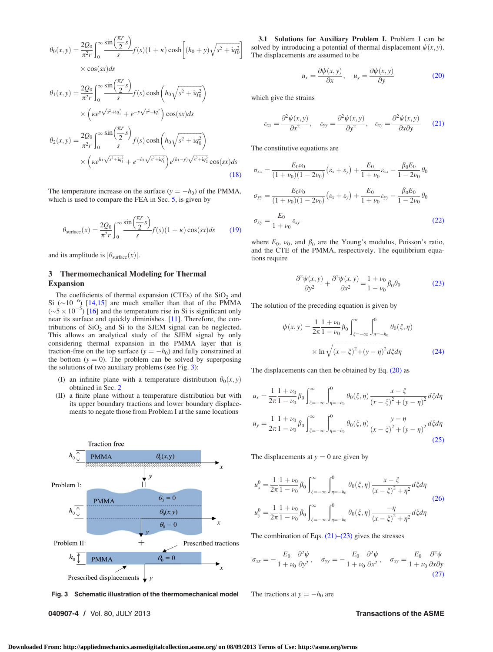<span id="page-3-0"></span>
$$
\theta_0(x, y) = \frac{2Q_0}{\pi^2 r} \int_0^\infty \frac{\sin(\frac{\pi r}{2} s)}{s} f(s) (1 + \kappa) \cosh\left[ (h_0 + y) \sqrt{s^2 + i q_0^2} \right]
$$
  
× cos(sx) ds

$$
\theta_{1}(x,y) = \frac{2Q_{0}}{\pi^{2} r} \int_{0}^{\infty} \frac{\sin(\frac{\pi r}{2} s)}{s} f(s) \cosh\left(h_{0} \sqrt{s^{2} + i q_{0}^{2}}\right)
$$
  
 
$$
\times \left(\kappa e^{y \sqrt{s^{2} + i q_{1}^{2}}} + e^{-y \sqrt{s^{2} + i q_{1}^{2}}}\right) \cos(sx) ds
$$
  
\n
$$
\theta_{2}(x,y) = \frac{2Q_{0}}{\pi^{2} r} \int_{0}^{\infty} \frac{\sin(\frac{\pi r}{2} s)}{s} f(s) \cosh\left(h_{0} \sqrt{s^{2} + i q_{0}^{2}}\right)
$$
  
\n
$$
\times \left(\kappa e^{h_{1} \sqrt{s^{2} + i q_{1}^{2}}} + e^{-h_{1} \sqrt{s^{2} + i q_{1}^{2}}}\right) e^{(h_{1} - y) \sqrt{s^{2} + i q_{2}^{2}}} \cos(sx) ds
$$
\n(18)

The temperature increase on the surface  $(y = -h_0)$  of the PMMA, which is used to compare the FEA in Sec. [5,](#page-5-0) is given by

$$
\theta_{\text{surface}}(x) = \frac{2Q_0}{\pi^2 r} \int_0^\infty \frac{\sin\left(\frac{\pi r}{2} s\right)}{s} f(s) (1 + \kappa) \cos(sx) ds \tag{19}
$$

and its amplitude is  $|\theta_{\text{surface}}(x)|$ .

## 3 Thermomechanical Modeling for Thermal Expansion

The coefficients of thermal expansion (CTEs) of the  $SiO<sub>2</sub>$  and Si  $(\sim 10^{-6})$  [[14,15\]](#page-6-0) are much smaller than that of the PMMA  $({\sim}5 \times 10^{-5})$  [\[16\]](#page-6-0) and the temperature rise in Si is significant only near its surface and quickly diminishes. [\[11](#page-6-0)]. Therefore, the contributions of  $SiO<sub>2</sub>$  and Si to the SJEM signal can be neglected. This allows an analytical study of the SJEM signal by only considering thermal expansion in the PMMA layer that is traction-free on the top surface  $(y = -h_0)$  and fully constrained at the bottom  $(y = 0)$ . The problem can be solved by superposing the solutions of two auxiliary problems (see Fig. 3):

- (I) an infinite plane with a temperature distribution  $\theta_0(x, y)$ obtained in Sec. [2](#page-1-0)
- (II) a finite plane without a temperature distribution but with its upper boundary tractions and lower boundary displacements to negate those from Problem I at the same locations



Fig. 3 Schematic illustration of the thermomechanical model The tractions at  $y = -h_0$  are

040907-4 / Vol. 80, JULY 2013 Transactions of the ASME

3.1 Solutions for Auxiliary Problem I. Problem I can be solved by introducing a potential of thermal displacement  $\psi(x, y)$ . The displacements are assumed to be

$$
u_x = \frac{\partial \psi(x, y)}{\partial x}, \quad u_y = \frac{\partial \psi(x, y)}{\partial y}
$$
(20)

which give the strains

$$
\varepsilon_{xx} = \frac{\partial^2 \psi(x, y)}{\partial x^2}, \quad \varepsilon_{yy} = \frac{\partial^2 \psi(x, y)}{\partial y^2}, \quad \varepsilon_{xy} = \frac{\partial^2 \psi(x, y)}{\partial x \partial y} \tag{21}
$$

The constitutive equations are

$$
\sigma_{xx} = \frac{E_0 \nu_0}{(1 + \nu_0)(1 - 2\nu_0)} \left(\varepsilon_x + \varepsilon_y\right) + \frac{E_0}{1 + \nu_0} \varepsilon_{xx} - \frac{\beta_0 E_0}{1 - 2\nu_0} \theta_0
$$
\n
$$
\sigma_{yy} = \frac{E_0 \nu_0}{(1 + \nu_0)(1 - 2\nu_0)} \left(\varepsilon_x + \varepsilon_y\right) + \frac{E_0}{1 + \nu_0} \varepsilon_{yy} - \frac{\beta_0 E_0}{1 - 2\nu_0} \theta_0
$$
\n
$$
\sigma_{xy} = \frac{E_0}{1 + \nu_0} \varepsilon_{xy}
$$
\n(22)

where  $E_0$ ,  $\nu_0$ , and  $\beta_0$  are the Young's modulus, Poisson's ratio, and the CTE of the PMMA, respectively. The equilibrium equations require

$$
\frac{\partial^2 \psi(x, y)}{\partial y^2} + \frac{\partial^2 \psi(x, y)}{\partial x^2} = \frac{1 + \nu_0}{1 - \nu_0} \beta_0 \theta_0
$$
 (23)

The solution of the preceding equation is given by

$$
\psi(x, y) = \frac{1}{2\pi} \frac{1 + \nu_0}{1 - \nu_0} \beta_0 \int_{\xi = -\infty}^{\infty} \int_{\eta = -h_0}^{0} \theta_0(\xi, \eta)
$$

$$
\times \ln \sqrt{(x - \xi)^2 + (y - \eta)^2} d\xi d\eta \tag{24}
$$

The displacements can then be obtained by Eq.  $(20)$  as

$$
u_x = \frac{1}{2\pi} \frac{1+\nu_0}{1-\nu_0} \beta_0 \int_{\xi=-\infty}^{\infty} \int_{\eta=-h_0}^{0} \theta_0(\xi,\eta) \frac{x-\xi}{(x-\xi)^2 + (y-\eta)^2} d\xi d\eta
$$
  

$$
u_y = \frac{1}{2\pi} \frac{1+\nu_0}{1-\nu_0} \beta_0 \int_{\xi=-\infty}^{\infty} \int_{\eta=-h_0}^{0} \theta_0(\xi,\eta) \frac{y-\eta}{(x-\xi)^2 + (y-\eta)^2} d\xi d\eta
$$
(25)

The displacements at  $y = 0$  are given by

$$
u_{x}^{0} = \frac{1}{2\pi} \frac{1+\nu_{0}}{1-\nu_{0}} \beta_{0} \int_{\xi=-\infty}^{\infty} \int_{\eta=-h_{0}}^{0} \theta_{0}(\xi,\eta) \frac{x-\xi}{(x-\xi)^{2}+\eta^{2}} d\xi d\eta
$$
  

$$
u_{y}^{0} = \frac{1}{2\pi} \frac{1+\nu_{0}}{1-\nu_{0}} \beta_{0} \int_{\xi=-\infty}^{\infty} \int_{\eta=-h_{0}}^{0} \theta_{0}(\xi,\eta) \frac{-\eta}{(x-\xi)^{2}+\eta^{2}} d\xi d\eta
$$
 (26)

The combination of Eqs.  $(21)$ – $(23)$  gives the stresses

$$
\sigma_{xx} = -\frac{E_0}{1+\nu_0} \frac{\partial^2 \psi}{\partial y^2}, \quad \sigma_{yy} = -\frac{E_0}{1+\nu_0} \frac{\partial^2 \psi}{\partial x^2}, \quad \sigma_{xy} = \frac{E_0}{1+\nu_0} \frac{\partial^2 \psi}{\partial x \partial y}
$$
(27)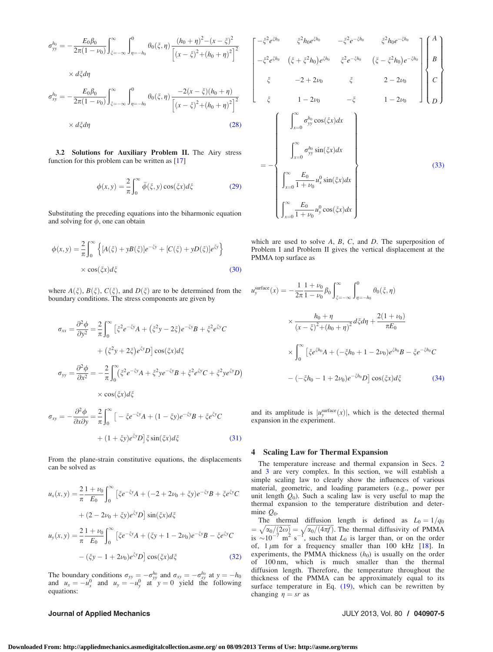<span id="page-4-0"></span>
$$
\sigma_{yy}^{h_0} = -\frac{E_0 \beta_0}{2\pi (1 - \nu_0)} \int_{\xi = -\infty}^{\infty} \int_{\eta = -h_0}^0 \theta_0(\xi, \eta) \frac{(h_0 + \eta)^2 - (x - \xi)^2}{\left[ (x - \xi)^2 + (h_0 + \eta)^2 \right]^2}
$$

$$
\times d\xi d\eta
$$

$$
E_0 R = \int_0^{\infty} \frac{\theta_0}{\sqrt{1 - \xi^2 + (h_0 + \eta)^2}}
$$

$$
\sigma_{xy}^{h_0} = -\frac{E_0 \beta_0}{2\pi (1 - \nu_0)} \int_{\xi = -\infty}^{\infty} \int_{\eta = -h_0}^{0} \theta_0(\xi, \eta) \frac{-2(x - \xi)(h_0 + \eta)}{\left[ (x - \xi)^2 + (h_0 + \eta)^2 \right]^2}
$$
  
×  $d\xi d\eta$  (28)

3.2 Solutions for Auxiliary Problem II. The Airy stress function for this problem can be written as [[17\]](#page-6-0)

$$
\phi(x, y) = \frac{2}{\pi} \int_0^\infty \bar{\phi}(\xi, y) \cos(\xi x) d\xi \tag{29}
$$

 $\overline{1}$  $\overline{a}$  $\overline{a}$  $\overline{a}$  $\overline{a}$  $\overline{a}$  $\overline{a}$  $\overline{a}$  $\overline{a}$  $\overline{a}$ 4

Substituting the preceding equations into the biharmonic equation and solving for  $\bar{\phi}$ , one can obtain

$$
\phi(x, y) = \frac{2}{\pi} \int_0^{\infty} \left\{ [A(\xi) + yB(\xi)]e^{-\xi y} + [C(\xi) + yD(\xi)]e^{\xi y} \right\}
$$
  
 
$$
\times \cos(\xi x) d\xi
$$
 (30)

where  $A(\xi)$ ,  $B(\xi)$ ,  $C(\xi)$ , and  $D(\xi)$  are to be determined from the u boundary conditions. The stress components are given by

$$
\sigma_{xx} = \frac{\partial^2 \phi}{\partial y^2} = \frac{2}{\pi} \int_0^\infty \left[ \xi^2 e^{-\xi y} A + (\xi^2 y - 2\xi) e^{-\xi y} B + \xi^2 e^{\xi y} C \right. \\
\left. + (\xi^2 y + 2\xi) e^{\xi y} D \right] \cos(\xi x) d\xi
$$
\n
$$
\sigma_{yy} = \frac{\partial^2 \phi}{\partial x^2} = -\frac{2}{\pi} \int_0^\infty (\xi^2 e^{-\xi y} A + \xi^2 y e^{-\xi y} B + \xi^2 e^{\xi y} C + \xi^2 y e^{\xi y} D) \times \cos(\xi x) d\xi
$$

$$
\sigma_{xy} = -\frac{\partial^2 \phi}{\partial x \partial y} = \frac{2}{\pi} \int_0^\infty \left[ -\xi e^{-\xi y} A + (1 - \xi y) e^{-\xi y} B + \xi e^{\xi y} C \right. \\
\left. + (1 + \xi y) e^{\xi y} D \right] \xi \sin(\xi x) d\xi \tag{31}
$$

From the plane-strain constitutive equations, the displacements can be solved as

$$
u_x(x, y) = \frac{2}{\pi} \frac{1 + \nu_0}{E_0} \int_0^\infty \left[ \xi e^{-\xi y} A + (-2 + 2\nu_0 + \xi y) e^{-\xi y} B + \xi e^{\xi y} C \right. \\
\left. + (2 - 2\nu_0 + \xi y) e^{\xi y} D \right] \sin(\xi x) d\xi
$$
\n
$$
u_y(x, y) = \frac{2}{\pi} \frac{1 + \nu_0}{E_0} \int_0^\infty \left[ \xi e^{-\xi y} A + (\xi y + 1 - 2\nu_0) e^{-\xi y} B - \xi e^{\xi y} C \right. \\
\left. - (\xi y - 1 + 2\nu_0) e^{\xi y} D \right] \cos(\xi x) d\xi
$$
\n(32)

The boundary conditions  $\sigma_{yy} = -\sigma_{yy}^{h_0}$  and  $\sigma_{xy} = -\sigma_{xy}^{h_0}$  at  $y = -h_0$ and  $u_x = -u_x^0$  and  $u_y = -u_y^0$  at  $y = 0$  yield the following equations:

## Journal of Applied Mechanics JULY 2013, Vol. 80 / 040907-5

$$
-\xi^{2}e^{\xi h_{0}} \qquad \xi^{2}h_{0}e^{\xi h_{0}} -\xi^{2}e^{-\xi h_{0}} \qquad \xi^{2}h_{0}e^{-\xi h_{0}}
$$
\n
$$
-\xi^{2}e^{\xi h_{0}} (\xi + \xi^{2}h_{0})e^{\xi h_{0}} \qquad \xi^{2}e^{-\xi h_{0}} (\xi - \xi^{2}h_{0})e^{-\xi h_{0}}
$$
\n
$$
\xi -2 + 2\nu_{0} \qquad \xi \qquad 2 - 2\nu_{0}
$$
\n
$$
\xi \qquad 1 - 2\nu_{0} -\xi \qquad 1 - 2\nu_{0}
$$
\n
$$
\int_{x=0}^{\infty} \sigma_{yy}^{h_{0}} \cos(\xi x)dx
$$
\n
$$
= -\left\{\n\int_{x=0}^{\infty} \sigma_{yy}^{h_{0}} \sin(\xi x)dx\n\right\}
$$
\n
$$
\int_{x=0}^{\infty} \frac{E_{0}}{1 + \nu_{0}} u_{x}^{0} \sin(\xi x)dx
$$
\n
$$
\int_{x=0}^{\infty} \frac{E_{0}}{1 + \nu_{0}} u_{y}^{0} \cos(\xi x)dx
$$
\n
$$
(33)
$$

which are used to solve  $A, B, C,$  and  $D$ . The superposition of Problem I and Problem II gives the vertical displacement at the PMMA top surface as

$$
\mu_{y}^{\text{surface}}(x) = -\frac{1}{2\pi} \frac{1+\nu_{0}}{1-\nu_{0}} \beta_{0} \int_{\xi=-\infty}^{\infty} \int_{\eta=-h_{0}}^{0} \theta_{0}(\xi,\eta)
$$

$$
\times \frac{h_{0}+\eta}{(x-\xi)^{2}+(h_{0}+\eta)^{2}} d\xi d\eta + \frac{2(1+\nu_{0})}{\pi E_{0}}
$$

$$
\times \int_{0}^{\infty} \left[ \xi e^{\xi h_{0}} A + (-\xi h_{0} + 1 - 2\nu_{0}) e^{\xi h_{0}} B - \xi e^{-\xi h_{0}} C - (-\xi h_{0} - 1 + 2\nu_{0}) e^{-\xi h_{0}} D \right] \cos(\xi x) d\xi \tag{34}
$$

and its amplitude is  $|u_{y}^{\text{surface}}(x)|$ , which is the detected thermal expansion in the experiment.

## 4 Scaling Law for Thermal Expansion

The temperature increase and thermal expansion in Secs. [2](#page-1-0) and [3](#page-3-0) are very complex. In this section, we will establish a simple scaling law to clearly show the influences of various material, geometric, and loading parameters (e.g., power per unit length  $Q_0$ ). Such a scaling law is very useful to map the thermal expansion to the temperature distribution and determine  $Q_0$ .

The thermal diffusion length is defined as  $L_0 = 1/q_0$  $=\sqrt{\alpha_0/(2\omega)} = \sqrt{\alpha_0/(4\pi f)}$ . The thermal diffusivity of PMMA is  $\sim 10^{-7}$  m<sup>2</sup> s<sup>-1</sup>, such that  $L_0$  is larger than, or on the order of,  $1 \mu m$  for a frequency smaller than 100 kHz  $[18]$  $[18]$ . In experiments, the PMMA thickness  $(h_0)$  is usually on the order of 100 nm, which is much smaller than the thermal diffusion length. Therefore, the temperature throughout the thickness of the PMMA can be approximately equal to its surface temperature in Eq.  $(19)$ , which can be rewritten by changing  $\eta = sr$  as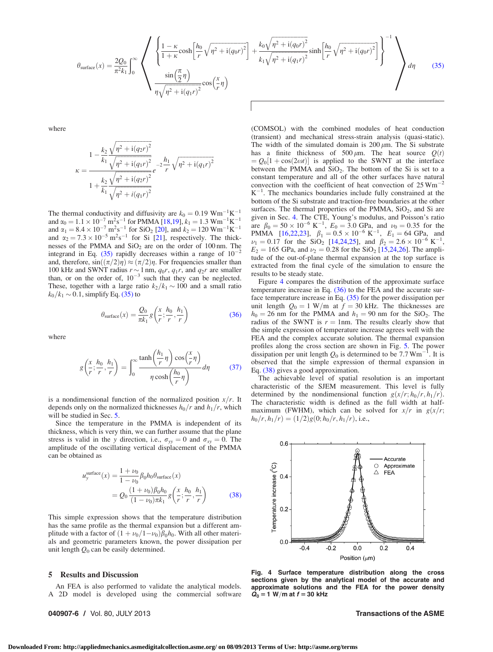<span id="page-5-0"></span>
$$
\theta_{\text{surface}}(x) = \frac{2Q_0}{\pi^2 k_1} \int_0^\infty \left\{ \frac{1 - \kappa}{1 + \kappa} \cosh\left[\frac{h_0}{r} \sqrt{\eta^2 + i(q_0 r)^2}\right] + \frac{k_0 \sqrt{\eta^2 + i(q_0 r)^2}}{k_1 \sqrt{\eta^2 + i(q_1 r)^2}} \sinh\left[\frac{h_0}{r} \sqrt{\eta^2 + i(q_0 r)^2}\right] \right\}^{-1} \right\}
$$
\n
$$
\theta_{\text{surface}}(x) = \frac{2Q_0}{\pi^2 k_1} \int_0^\infty \left\{ \frac{1 - \kappa}{1 + \kappa} \cos\left[\frac{h_0}{r} \sqrt{\eta^2 + i(q_0 r)^2}\right] + \frac{k_0 \sqrt{\eta^2 + i(q_0 r)^2}}{k_1 \sqrt{\eta^2 + i(q_1 r)^2}} \sinh\left[\frac{h_0}{r} \sqrt{\eta^2 + i(q_0 r)^2}\right] \right\}^{-1} \right\}
$$
\n(35)

where

$$
\kappa = \frac{1 - \frac{k_2}{k_1} \frac{\sqrt{\eta^2 + i(q_2 r)^2}}{\sqrt{\eta^2 + i(q_1 r)^2}}}{1 + \frac{k_2}{k_1} \frac{\sqrt{\eta^2 + i(q_2 r)^2}}{\sqrt{\eta^2 + i(q_1 r)^2}}} e^{-2\frac{h_1}{r} \sqrt{\eta^2 + i(q_1 r)^2}}
$$

The thermal conductivity and diffusivity are  $k_0 = 0.19 \text{ Wm}^{-1}\text{K}^{-1}$ and  $\alpha_0 = 1.1 \times 10^{-7} \text{ m}^2 \text{s}^{-1}$  for PMMA [[18](#page-6-0),[19](#page-6-0)],  $k_1 = 1.3 \text{ Wm}^{-1}\text{K}^{-1}$ and  $\alpha_1 = 8.4 \times 10^{-7} \,\mathrm{m^2 s^{-1}}$  for SiO<sub>2</sub> [[20](#page-6-0)], and  $k_2 = 120 \,\mathrm{W m^{-1} K^{-1}}$ and  $\alpha_2 = 7.3 \times 10^{-5} \text{ m}^2 \text{s}^{-1}$  for Si [\[21](#page-6-0)], respectively. The thicknesses of the PMMA and  $SiO<sub>2</sub>$  are on the order of 100 nm. The integrand in Eq. (35) rapidly decreases within a range of  $10^{-2}$ and, therefore,  $sin((\pi/2)\eta) \approx (\pi/2)\eta$ . For frequencies smaller than 100 kHz and SWNT radius  $r \sim 1$  nm,  $q_0r$ ,  $q_1r$ , and  $q_2r$  are smaller than, or on the order of,  $10^{-3}$  such that they can be neglected. These, together with a large ratio  $k_2/k_1 \sim 100$  and a small ratio  $k_0/k_1 \sim 0.1$ , simplify Eq. (35) to

$$
\theta_{\text{surface}}(x) = \frac{Q_0}{\pi k_1} g\left(\frac{x}{r}; \frac{h_0}{r}, \frac{h_1}{r}\right)
$$
(36)

where

$$
g\left(\frac{x}{r};\frac{h_0}{r},\frac{h_1}{r}\right) = \int_0^\infty \frac{\tanh\left(\frac{h_1}{r}\eta\right)\cos\left(\frac{x}{r}\eta\right)}{\eta\cosh\left(\frac{h_0}{r}\eta\right)}d\eta\tag{37}
$$

is a nondimensional function of the normalized position  $x/r$ . It depends only on the normalized thicknesses  $h_0/r$  and  $h_1/r$ , which will be studied in Sec. 5.

Since the temperature in the PMMA is independent of its thickness, which is very thin, we can further assume that the plane stress is valid in the y direction, i.e.,  $\sigma_{yy} = 0$  and  $\sigma_{xy} = 0$ . The amplitude of the oscillating vertical displacement of the PMMA can be obtained as

$$
\mu_{y}^{\text{surface}}(x) = \frac{1 + \nu_{0}}{1 - \nu_{0}} \beta_{0} h_{0} \theta_{\text{surface}}(x)
$$

$$
= Q_{0} \frac{(1 + \nu_{0}) \beta_{0} h_{0}}{(1 - \nu_{0}) \pi k_{1}} g\left(\frac{x}{r}; \frac{h_{0}}{r}, \frac{h_{1}}{r}\right)
$$
(38)

This simple expression shows that the temperature distribution has the same profile as the thermal expansion but a different amplitude with a factor of  $(1 + \nu_0/1 - \nu_0)\beta_0 h_0$ . With all other materials and geometric parameters known, the power dissipation per unit length  $Q_0$  can be easily determined.

## 5 Results and Discussion

An FEA is also performed to validate the analytical models. A 2D model is developed using the commercial software

040907-6 / Vol. 80, JULY 2013 Transactions of the ASME

(COMSOL) with the combined modules of heat conduction (transient) and mechanical stress-strain analysis (quasi-static). The width of the simulated domain is  $200 \mu m$ . The Si substrate has a finite thickness of 500  $\mu$ m. The heat source  $Q(t)$  $= Q_0[1 + \cos(2\omega t)]$  is applied to the SWNT at the interface between the PMMA and  $SiO<sub>2</sub>$ . The bottom of the Si is set to a constant temperature and all of the other surfaces have natural convection with the coefficient of heat convection of  $25 Wm$ <sup>-</sup>  $K^{-1}$ . The mechanics boundaries include fully constrained at the bottom of the Si substrate and traction-free boundaries at the other surfaces. The thermal properties of the PMMA, SiO<sub>2</sub>, and Si are given in Sec. [4.](#page-4-0) The CTE, Young's modulus, and Poisson's ratio are  $\beta_0 = 50 \times 10^{-6} \text{ K}^{-1}$ ,  $E_0 = 3.0 \text{ GPa}$ , and  $\nu_0 = 0.35$  for the PMMA [\[16](#page-6-0),[22,23\]](#page-7-0),  $\beta_1 = 0.5 \times 10^{-6} \text{ K}^{-1}$ ,  $E_1 = 64 \text{ GPa}$ , and  $\nu_1 = 0.17$  for the SiO<sub>2</sub> [\[14](#page-6-0)[,24](#page-7-0),[25](#page-7-0)], and  $\beta_2 = 2.6 \times 10^{-6} \text{ K}^{-1}$ ,  $E_2 = 165$  GPa, and  $\nu_2 = 0.28$  for the SiO<sub>2</sub> [[15,](#page-6-0)[24,26](#page-7-0)]. The amplitude of the out-of-plane thermal expansion at the top surface is extracted from the final cycle of the simulation to ensure the results to be steady state.

Figure 4 compares the distribution of the approximate surface temperature increase in Eq.  $(36)$  to the FEA and the accurate surface temperature increase in Eq.  $(35)$  for the power dissipation per unit length  $Q_0 = 1$  W/m at  $f = 30$  kHz. The thicknesses are  $h_0 = 26$  nm for the PMMA and  $h_1 = 90$  nm for the SiO<sub>2</sub>. The radius of the SWNT is  $r = 1$ nm. The results clearly show that the simple expression of temperature increase agrees well with the FEA and the complex accurate solution. The thermal expansion profiles along the cross section are shown in Fig. [5](#page-6-0). The power dissipation per unit length  $Q_0$  is determined to be 7.7 Wm<sup>-1</sup>. It is observed that the simple expression of thermal expansion in Eq. (38) gives a good approximation.

The achievable level of spatial resolution is an important characteristic of the SJEM measurement. This level is fully determined by the nondimensional function  $g(x/r; h_0/r, h_1/r)$ . The characteristic width is defined as the full width at halfmaximum (FWHM), which can be solved for  $x/r$  in  $g(x/r)$ ;  $h_0/r$ ,  $h_1/r$  =  $(1/2)g(0; h_0/r, h_1/r)$ , i.e.,



Fig. 4 Surface temperature distribution along the cross sections given by the analytical model of the accurate and approximate solutions and the FEA for the power density  $\dot{Q}_0 = 1$  W/m at  $f = 30$  kHz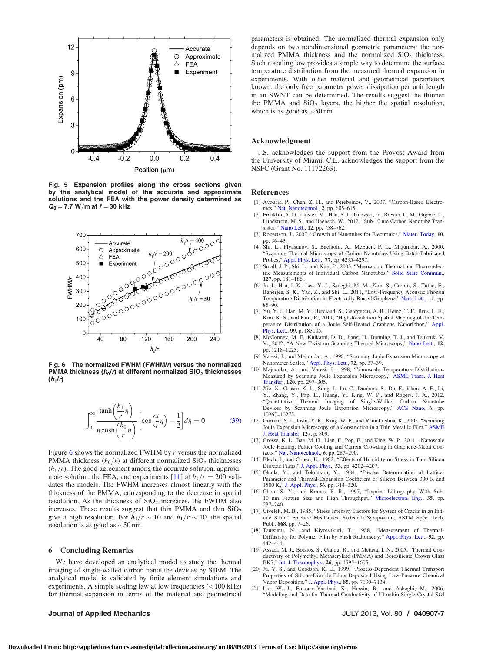<span id="page-6-0"></span>

Fig. 5 Expansion profiles along the cross sections given by the analytical model of the accurate and approximate solutions and the FEA with the power density determined as  $Q_0 = 7.7 \, W/m$  at  $f = 30 \, \text{kHz}$ 



Fig. 6 The normalized FWHM (FWHM/r) versus the normalized PMMA thickness ( $h_0/r$ ) at different normalized SiO<sub>2</sub> thicknesses  $(h_1/r)$ 

$$
\int_0^\infty \frac{\tanh\left(\frac{h_1}{r}\eta\right)}{\eta \cosh\left(\frac{h_0}{r}\eta\right)} \left[\cos\left(\frac{x}{r}\eta\right) - \frac{1}{2}\right] d\eta = 0 \tag{39}
$$

Figure 6 shows the normalized FWHM by r versus the normalized PMMA thickness  $(h_0/r)$  at different normalized SiO<sub>2</sub> thicknesses  $(h_1/r)$ . The good agreement among the accurate solution, approximate solution, the FEA, and experiments [11] at  $h_1/r = 200$  validates the models. The FWHM increases almost linearly with the thickness of the PMMA, corresponding to the decrease in spatial resolution. As the thickness of  $SiO<sub>2</sub>$  increases, the FWHM also increases. These results suggest that thin PMMA and thin  $SiO<sub>2</sub>$ give a high resolution. For  $h_0/r \sim 10$  and  $h_1/r \sim 10$ , the spatial resolution is as good as  $\sim$ 50 nm.

## 6 Concluding Remarks

We have developed an analytical model to study the thermal imaging of single-walled carbon nanotube devices by SJEM. The analytical model is validated by finite element simulations and experiments. A simple scaling law at low frequencies (<100 kHz) for thermal expansion in terms of the material and geometrical

parameters is obtained. The normalized thermal expansion only depends on two nondimensional geometric parameters: the normalized PMMA thickness and the normalized  $SiO<sub>2</sub>$  thickness. Such a scaling law provides a simple way to determine the surface temperature distribution from the measured thermal expansion in experiments. With other material and geometrical parameters known, the only free parameter power dissipation per unit length in an SWNT can be determined. The results suggest the thinner the PMMA and  $SiO<sub>2</sub>$  layers, the higher the spatial resolution, which is as good as  $\sim$  50 nm.

## Acknowledgment

J.S. acknowledges the support from the Provost Award from the University of Miami. C.L. acknowledges the support from the NSFC (Grant No. 11172263).

### References

- [1] Avouris, P., Chen, Z. H., and Perebeinos, V., 2007, "Carbon-Based Electronics," [Nat. Nanotechnol.,](http://dx.doi.org/10.1038/nnano.2007.300) 2, pp. 605–615.
- [2] Franklin, A. D., Luisier, M., Han, S. J., Tulevski, G., Breslin, C. M., Gignac, L., Lundstrom, M. S., and Haensch, W., 2012, "Sub-10 nm Carbon Nanotube Transistor," [Nano Lett.,](http://dx.doi.org/10.1021/nl203701g) 12, pp. 758–762.
- [3] Robertson, J., 2007, "Growth of Nanotubes for Electronics," [Mater. Today](http://dx.doi.org/10.1016/S1369-7021(06)71790-4), 10, pp. 36–43.
- [4] Shi, L., Plyasunov, S., Bachtold, A., McEuen, P. L., Majumdar, A., 2000, "Scanning Thermal Microscopy of Carbon Nanotubes Using Batch-Fabricated Probes," [Appl. Phys. Lett.](http://dx.doi.org/10.1063/1.1334658), 77, pp. 4295–4297.
- [5] Small, J. P., Shi, L., and Kim, P., 2003, "Mesoscopic Thermal and Thermoelectric Measurements of Individual Carbon Nanotubes," [Solid State Commun.](http://dx.doi.org/10.1016/S0038-1098(03)00341-7), 127, pp. 181–186.
- [6] Jo, I., Hsu, I. K., Lee, Y. J., Sadeghi, M. M., Kim, S., Cronin, S., Tutuc, E., Banerjee, S. K., Yao, Z., and Shi, L., 2011, "Low-Frequency Acoustic Phonon Temperature Distribution in Electrically Biased Graphene," [Nano Lett.,](http://dx.doi.org/10.1021/nl102858c) 11, pp. 85–90.
- [7] Yu, Y. J., Han, M. Y., Berciaud, S., Georgescu, A. B., Heinz, T. F., Brus, L. E., Kim, K. S., and Kim, P., 2011, "High-Resolution Spatial Mapping of the Tem-<br>perature Distribution of a Joule Self-Heated Graphene Nanoribbon," [Appl.](http://dx.doi.org/10.1063/1.3657515) [Phys. Lett.,](http://dx.doi.org/10.1063/1.3657515) 99, p. 183105.
- [8] McConney, M. E., Kulkarni, D. D., Jiang, H., Bunning, T. J., and Tsukruk, V. V., 2012, "A New Twist on Scanning Thermal Microscopy," [Nano Lett.,](http://dx.doi.org/10.1021/nl203531f) 12, pp. 1218–1223.
- [9] Varesi, J., and Majumdar, A., 1998, "Scanning Joule Expansion Microscopy at Nanometer Scales," [Appl. Phys. Lett.](http://dx.doi.org/10.1063/1.120638), 72, pp. 37–39.
- [10] Majumdar, A., and Varesi, J., 1998, "Nanoscale Temperature Distributions Measured by Scanning Joule Expansion Microscopy," [ASME Trans. J. Heat](http://dx.doi.org/10.1115/1.2824245) [Transfer.](http://dx.doi.org/10.1115/1.2824245), 120, pp. 297–305.
- [11] Xie, X., Grosse, K. L., Song, J., Lu, C., Dunham, S., Du, F., Islam, A. E., Li, Y., Zhang, Y., Pop, E., Huang, Y., King, W. P., and Rogers, J. A., 2012, "Quantitative Thermal Imaging of Single-Walled Carbon Nanotube Devices by Scanning Joule Expansion Microscopy," [ACS Nano,](http://dx.doi.org/10.1021/nn304083a) 6, pp. 10267–10275.
- [12] Gurrum, S. J., Joshi, Y. K., King, W. P., and Ramakrishna, K., 2005, "Scanning Joule Expansion Microscopy of a Constriction in a Thin Metallic Film," [ASME](http://dx.doi.org/10.1115/1.2033315) [J. Heat Transfer,](http://dx.doi.org/10.1115/1.2033315) 127, p. 809.
- [13] Grosse, K. L., Bae, M. H., Lian, F., Pop, E., and King, W. P., 2011, "Nanoscale Joule Heating, Peltier Cooling and Current Crowding in Graphene-Metal Con-
- tacts," [Nat. Nanotechnol.,](http://dx.doi.org/10.1038/nnano.2011.39) 6, pp. 287–290. [14] Blech, I., and Cohen, U., 1982, "Effects of Humidity on Stress in Thin Silicon Dioxide Films," [J. Appl. Phys.,](http://dx.doi.org/10.1063/1.331244) 53, pp. 4202–4207.
- [15] Okada, Y., and Tokumaru, Y., 1984, "Precise Determination of Lattice-Parameter and Thermal-Expansion Coefficient of Silicon Between 300 K and
- 1500 K," [J. Appl. Phys.](http://dx.doi.org/10.1063/1.333965), 56, pp. 314–320. [16] Chou, S. Y., and Krauss, P. R., 1997, "Imprint Lithography With Sub-10 nm Feature Size and High Throughput," [Microelectron. Eng.,](http://dx.doi.org/10.1016/S0167-9317(96)00097-4) 35, pp. 237–240.
- [17] Civelek, M. B., 1985, "Stress Intensity Factors for System of Cracks in an Infinite Strip," Fracture Mechanics: Sixteenth Symposium, ASTM Spec. Tech. Publ., 868, pp. 7–26.
- [18] Tsutsumi, N., and Kiyotsukuri, T., 1988, "Measurement of Thermal-Diffusivity for Polymer Film by Flash Radiometry," [Appl. Phys. Lett.](http://dx.doi.org/10.1063/1.99437), 52, pp. 442–444.
- [19] Assael, M. J., Botsios, S., Gialou, K., and Metaxa, I. N., 2005, "Thermal Conductivity of Polymethyl Methacrylate (PMMA) and Borosilicate Crown Glass BK7," [Int. J. Thermophys.](http://dx.doi.org/10.1007/s10765-005-8106-5), 26, pp. 1595–1605.
- [20] Ju, Y. S., and Goodson, K. E., 1999, "Process-Dependent Thermal Transport Properties of Silicon-Dioxide Films Deposited Using Low-Pressure Chemical Vapor Deposition," [J. Appl. Phys.,](http://dx.doi.org/10.1063/1.370523) 85, pp. 7130–7134.
- [21] Liu, W. J., Etessam-Yazdani, K., Hussin, R., and Asheghi, M., 2006, "Modeling and Data for Thermal Conductivity of Ultrathin Single-Crystal SOI

Journal of Applied Mechanics JULY 2013, Vol. 80 / 040907-7